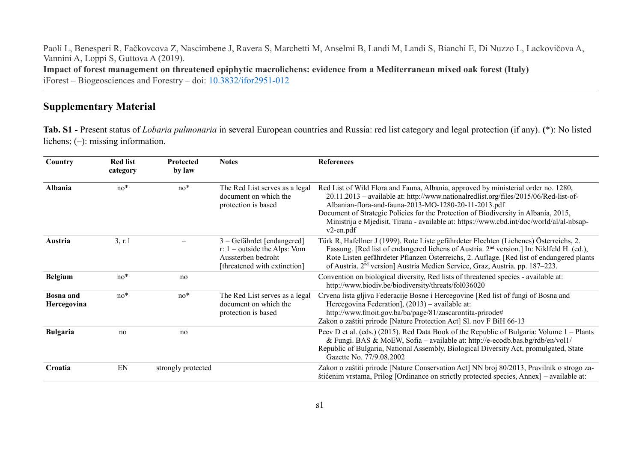Paoli L, Benesperi R, Fačkovcova Z, Nascimbene J, Ravera S, Marchetti M, Anselmi B, Landi M, Landi S, Bianchi E, Di Nuzzo L, Lackovičova A, Vannini A, Loppi S, Guttova A (2019). **Impact of forest management on threatened epiphytic macrolichens: evidence from a Mediterranean mixed oak forest (Italy)** iForest – Biogeosciences and Forestry – doi: [10.3832/ifor2951-012](https://doi.org/10.3832/ifor2951-012)

# **Supplementary Material**

**Tab. S1 -** Present status of *Lobaria pulmonaria* in several European countries and Russia: red list category and legal protection (if any). **(**\*): No listed lichens; (–): missing information.

| Country                         | <b>Red list</b><br>category | <b>Protected</b><br>by law | <b>Notes</b>                                                                                                                       | <b>References</b>                                                                                                                                                                                                                                                                                                                                                                                                                     |
|---------------------------------|-----------------------------|----------------------------|------------------------------------------------------------------------------------------------------------------------------------|---------------------------------------------------------------------------------------------------------------------------------------------------------------------------------------------------------------------------------------------------------------------------------------------------------------------------------------------------------------------------------------------------------------------------------------|
| Albania                         | $no*$                       | $no*$                      | The Red List serves as a legal<br>document on which the<br>protection is based                                                     | Red List of Wild Flora and Fauna, Albania, approved by ministerial order no. 1280,<br>20.11.2013 - available at: http://www.nationalredlist.org/files/2015/06/Red-list-of-<br>Albanian-flora-and-fauna-2013-MO-1280-20-11-2013.pdf<br>Document of Strategic Policies for the Protection of Biodiversity in Albania, 2015,<br>Ministrija e Mjedisit, Tirana - available at: https://www.cbd.int/doc/world/al/al-nbsap-<br>$v2$ -en.pdf |
| Austria                         | 3, r:1                      |                            | $3 = \text{Gefährdet}$ [endangered]<br>r: $1 = \text{outside the Alps:}$ Vom<br>Aussterben bedroht<br>[threatened with extinction] | Türk R, Hafellner J (1999). Rote Liste gefährdeter Flechten (Lichenes) Österreichs, 2.<br>Fassung. [Red list of endangered lichens of Austria. 2 <sup>nd</sup> version.] In: Niklfeld H. (ed.),<br>Rote Listen gefährdeter Pflanzen Österreichs, 2. Auflage. [Red list of endangered plants<br>of Austria. 2 <sup>nd</sup> version] Austria Medien Service, Graz, Austria. pp. 187–223.                                               |
| <b>Belgium</b>                  | $no*$                       | no                         |                                                                                                                                    | Convention on biological diversity, Red lists of threatened species - available at:<br>http://www.biodiv.be/biodiversity/threats/fol036020                                                                                                                                                                                                                                                                                            |
| <b>Bosna</b> and<br>Hercegovina | $no*$                       | $no*$                      | The Red List serves as a legal<br>document on which the<br>protection is based                                                     | Crvena lista gljiva Federacije Bosne i Hercegovine [Red list of fungi of Bosna and<br>Hercegovina Federation], (2013) – available at:<br>http://www.fmoit.gov.ba/ba/page/81/zascarontita-prirode#<br>Zakon o zaštiti prirode [Nature Protection Act] Sl. nov F BiH 66-13                                                                                                                                                              |
| <b>Bulgaria</b>                 | no                          | no                         |                                                                                                                                    | Peev D et al. (eds.) (2015). Red Data Book of the Republic of Bulgaria: Volume 1 – Plants<br>& Fungi. BAS & MoEW, Sofia – available at: http://e-ecodb.bas.bg/rdb/en/vol1/<br>Republic of Bulgaria, National Assembly, Biological Diversity Act, promulgated, State<br>Gazette No. 77/9.08.2002                                                                                                                                       |
| Croatia                         | EN                          | strongly protected         |                                                                                                                                    | Zakon o zaštiti prirode [Nature Conservation Act] NN broj 80/2013, Pravilnik o strogo za-<br>štićenim vrstama, Prilog [Ordinance on strictly protected species, Annex] - available at:                                                                                                                                                                                                                                                |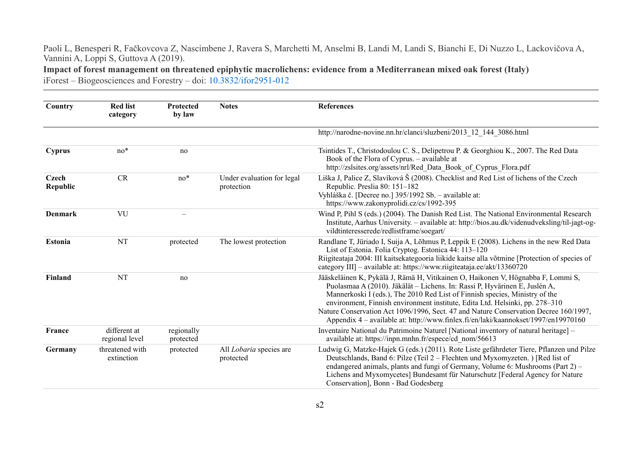**Impact of forest management on threatened epiphytic macrolichens: evidence from a Mediterranean mixed oak forest (Italy)**

| Country                  | <b>Red list</b><br>category    | <b>Protected</b><br>by law | <b>Notes</b>                             | <b>References</b>                                                                                                                                                                                                                                                                                                                                                                                                                                                                                           |
|--------------------------|--------------------------------|----------------------------|------------------------------------------|-------------------------------------------------------------------------------------------------------------------------------------------------------------------------------------------------------------------------------------------------------------------------------------------------------------------------------------------------------------------------------------------------------------------------------------------------------------------------------------------------------------|
|                          |                                |                            |                                          | http://narodne-novine.nn.hr/clanci/sluzbeni/2013 12 144 3086.html                                                                                                                                                                                                                                                                                                                                                                                                                                           |
| <b>Cyprus</b>            | $no*$                          | no                         |                                          | Tsintides T., Christodoulou C. S., Delipetrou P. & Georghiou K., 2007. The Red Data<br>Book of the Flora of Cyprus. - available at<br>http://zslsites.org/assets/nrl/Red Data Book of Cyprus Flora.pdf                                                                                                                                                                                                                                                                                                      |
| <b>Czech</b><br>Republic | <b>CR</b>                      | $no*$                      | Under evaluation for legal<br>protection | Liška J, Palice Z, Slavíková Š (2008). Checklist and Red List of lichens of the Czech<br>Republic. Preslia 80: 151-182<br>Vyhláška č. [Decree no.] 395/1992 Sb. - available at:<br>https://www.zakonyprolidi.cz/cs/1992-395                                                                                                                                                                                                                                                                                 |
| <b>Denmark</b>           | VU                             |                            |                                          | Wind P, Pihl S (eds.) (2004). The Danish Red List. The National Environmental Research<br>Institute, Aarhus University. – available at: http://bios.au.dk/videnudveksling/til-jagt-og-<br>vildtinteresserede/redlistframe/soegart/                                                                                                                                                                                                                                                                          |
| <b>Estonia</b>           | NT                             | protected                  | The lowest protection                    | Randlane T, Jüriado I, Suija A, Lõhmus P, Leppik E (2008). Lichens in the new Red Data<br>List of Estonia. Folia Cryptog. Estonica 44: 113-120<br>Riigiteataja 2004: III kaitsekategooria liikide kaitse alla võtmine [Protection of species of<br>category III] – available at: https://www.riigiteataja.ee/akt/13360720                                                                                                                                                                                   |
| Finland                  | <b>NT</b>                      | no                         |                                          | Jääskeläinen K, Pykälä J, Rämä H, Vitikainen O, Haikonen V, Högnabba F, Lommi S,<br>Puolasmaa A (2010). Jäkälät – Lichens. In: Rassi P, Hyvärinen E, Juslén A,<br>Mannerkoski I (eds.), The 2010 Red List of Finnish species, Ministry of the<br>environment, Finnish environment institute, Edita Ltd. Helsinki, pp. 278–310<br>Nature Conservation Act 1096/1996, Sect. 47 and Nature Conservation Decree 160/1997,<br>Appendix 4 – available at: http://www.finlex.fi/en/laki/kaannokset/1997/en19970160 |
| France                   | different at<br>regional level | regionally<br>protected    |                                          | Inventaire National du Patrimoine Naturel [National inventory of natural heritage] -<br>available at: https://inpn.mnhn.fr/espece/cd_nom/56613                                                                                                                                                                                                                                                                                                                                                              |
| Germany                  | threatened with<br>extinction  | protected                  | All Lobaria species are<br>protected     | Ludwig G, Matzke-Hajek G (eds.) (2011). Rote Liste gefährdeter Tiere, Pflanzen und Pilze<br>Deutschlands, Band 6: Pilze (Teil 2 – Flechten und Myxomyzeten.) [Red list of<br>endangered animals, plants and fungi of Germany, Volume 6: Mushrooms (Part 2) -<br>Lichens and Myxomycetes] Bundesamt für Naturschutz [Federal Agency for Nature<br>Conservation], Bonn - Bad Godesberg                                                                                                                        |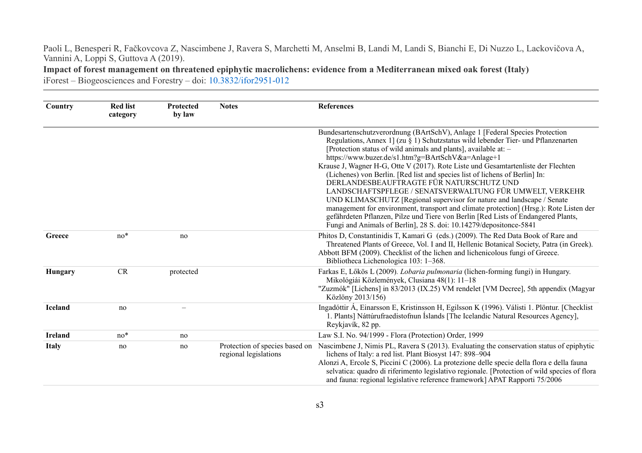**Impact of forest management on threatened epiphytic macrolichens: evidence from a Mediterranean mixed oak forest (Italy)**

| Country        | <b>Red list</b><br>category | <b>Protected</b><br>by law | <b>Notes</b>          | <b>References</b>                                                                                                                                                                                                                                                                                                                                                                                                                                                                                                                                                                                                                                                                                                                                                                                                                                                                                       |
|----------------|-----------------------------|----------------------------|-----------------------|---------------------------------------------------------------------------------------------------------------------------------------------------------------------------------------------------------------------------------------------------------------------------------------------------------------------------------------------------------------------------------------------------------------------------------------------------------------------------------------------------------------------------------------------------------------------------------------------------------------------------------------------------------------------------------------------------------------------------------------------------------------------------------------------------------------------------------------------------------------------------------------------------------|
|                |                             |                            |                       | Bundesartenschutzverordnung (BArtSchV), Anlage 1 [Federal Species Protection<br>Regulations, Annex 1] (zu $\S$ 1) Schutzstatus wild lebender Tier- und Pflanzenarten<br>[Protection status of wild animals and plants], available at: -<br>https://www.buzer.de/s1.htm?g=BArtSchV&a=Anlage+1<br>Krause J, Wagner H-G, Otte V (2017). Rote Liste und Gesamtartenliste der Flechten<br>(Lichenes) von Berlin. [Red list and species list of lichens of Berlin] In:<br>DERLANDESBEAUFTRAGTE FÜR NATURSCHUTZ UND<br>LANDSCHAFTSPFLEGE / SENATSVERWALTUNG FÜR UMWELT, VERKEHR<br>UND KLIMASCHUTZ [Regional supervisor for nature and landscape / Senate<br>management for environment, transport and climate protection] (Hrsg.): Rote Listen der<br>gefährdeten Pflanzen, Pilze und Tiere von Berlin [Red Lists of Endangered Plants,<br>Fungi and Animals of Berlin], 28 S. doi: 10.14279/depositonce-5841 |
| Greece         | $no*$                       | no                         |                       | Phitos D, Constantinidis T, Kamari G (eds.) (2009). The Red Data Book of Rare and<br>Threatened Plants of Greece, Vol. I and II, Hellenic Botanical Society, Patra (in Greek).<br>Abbott BFM (2009). Checklist of the lichen and lichenicolous fungi of Greece.<br>Bibliotheca Lichenologica 103: 1-368.                                                                                                                                                                                                                                                                                                                                                                                                                                                                                                                                                                                                |
| <b>Hungary</b> | CR                          | protected                  |                       | Farkas E, Lőkös L (2009). Lobaria pulmonaria (lichen-forming fungi) in Hungary.<br>Mikológiái Közlemények, Clusiana 48(1): 11-18<br>"Zuzmók" [Lichens] in 83/2013 (IX.25) VM rendelet [VM Decree], 5th appendix (Magyar<br>Közlöny 2013/156)                                                                                                                                                                                                                                                                                                                                                                                                                                                                                                                                                                                                                                                            |
| <b>Iceland</b> | no                          |                            |                       | Ingadóttir Á, Einarsson E, Kristinsson H, Egilsson K (1996). Válisti 1. Plöntur. [Checklist<br>1. Plants] Náttúrufraedistofnun Íslands [The Icelandic Natural Resources Agency],<br>Reykjavík, 82 pp.                                                                                                                                                                                                                                                                                                                                                                                                                                                                                                                                                                                                                                                                                                   |
| <b>Ireland</b> | $no*$                       | no                         |                       | Law S.I. No. 94/1999 - Flora (Protection) Order, 1999                                                                                                                                                                                                                                                                                                                                                                                                                                                                                                                                                                                                                                                                                                                                                                                                                                                   |
| <b>Italy</b>   | no                          | no                         | regional legislations | Protection of species based on Nascimbene J, Nimis PL, Ravera S (2013). Evaluating the conservation status of epiphytic<br>lichens of Italy: a red list. Plant Biosyst 147: 898-904<br>Alonzi A, Ercole S, Piccini C (2006). La protezione delle specie della flora e della fauna<br>selvatica: quadro di riferimento legislativo regionale. [Protection of wild species of flora<br>and fauna: regional legislative reference framework] APAT Rapporti 75/2006                                                                                                                                                                                                                                                                                                                                                                                                                                         |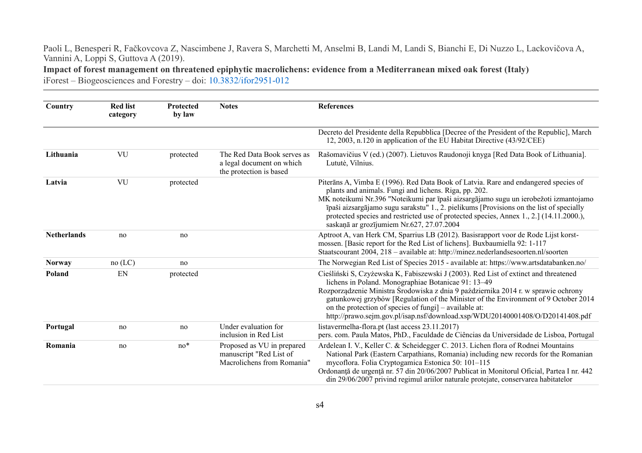**Impact of forest management on threatened epiphytic macrolichens: evidence from a Mediterranean mixed oak forest (Italy)**

| Country            | <b>Red list</b><br>category | <b>Protected</b><br>by law | <b>Notes</b>                                                                        | <b>References</b>                                                                                                                                                                                                                                                                                                                                                                                                                                                         |
|--------------------|-----------------------------|----------------------------|-------------------------------------------------------------------------------------|---------------------------------------------------------------------------------------------------------------------------------------------------------------------------------------------------------------------------------------------------------------------------------------------------------------------------------------------------------------------------------------------------------------------------------------------------------------------------|
|                    |                             |                            |                                                                                     | Decreto del Presidente della Repubblica [Decree of the President of the Republic], March<br>12, 2003, n.120 in application of the EU Habitat Directive (43/92/CEE)                                                                                                                                                                                                                                                                                                        |
| Lithuania          | VU                          | protected                  | The Red Data Book serves as<br>a legal document on which<br>the protection is based | Rašomavičius V (ed.) (2007). Lietuvos Raudonoji knyga [Red Data Book of Lithuania].<br>Lututė, Vilnius.                                                                                                                                                                                                                                                                                                                                                                   |
| Latvia             | VU                          | protected                  |                                                                                     | Piterāns A, Vimba E (1996). Red Data Book of Latvia. Rare and endangered species of<br>plants and animals. Fungi and lichens. Riga, pp. 202.<br>MK noteikumi Nr.396 "Noteikumi par īpaši aizsargājamo sugu un ierobežoti izmantojamo<br>īpaši aizsargājamo sugu sarakstu" $1., 2.$ pielikums [Provisions on the list of specially<br>protected species and restricted use of protected species, Annex 1., 2.] (14.11.2000.),<br>saskaņā ar grozījumiem Nr.627, 27.07.2004 |
| <b>Netherlands</b> | no                          | no                         |                                                                                     | Aptroot A, van Herk CM, Sparrius LB (2012). Basisrapport voor de Rode Lijst korst-<br>mossen. [Basic report for the Red List of lichens]. Buxbaumiella 92: 1-117<br>Staatscourant 2004, 218 - available at: http://minez.nederlandsesoorten.nl/soorten                                                                                                                                                                                                                    |
| <b>Norway</b>      | no (LC)                     | no                         |                                                                                     | The Norwegian Red List of Species 2015 - available at: https://www.artsdatabanken.no/                                                                                                                                                                                                                                                                                                                                                                                     |
| Poland             | EN                          | protected                  |                                                                                     | Cieśliński S, Czyżewska K, Fabiszewski J (2003). Red List of extinct and threatened<br>lichens in Poland. Monographiae Botanicae 91: 13-49<br>Rozporządzenie Ministra Środowiska z dnia 9 października 2014 r. w sprawie ochrony<br>gatunkowej grzybów [Regulation of the Minister of the Environment of 9 October 2014<br>on the protection of species of fungi - available at:<br>http://prawo.sejm.gov.pl/isap.nsf/download.xsp/WDU20140001408/O/D20141408.pdf         |
| Portugal           | no                          | no                         | Under evaluation for<br>inclusion in Red List                                       | listavermelha-flora.pt (last access 23.11.2017)<br>pers. com. Paula Matos, PhD., Faculdade de Ciências da Universidade de Lisboa, Portugal                                                                                                                                                                                                                                                                                                                                |
| Romania            | no                          | $no*$                      | Proposed as VU in prepared<br>manuscript "Red List of<br>Macrolichens from Romania" | Ardelean I. V., Keller C. & Scheidegger C. 2013. Lichen flora of Rodnei Mountains<br>National Park (Eastern Carpathians, Romania) including new records for the Romanian<br>mycoflora. Folia Cryptogamica Estonica 50: 101-115<br>Ordonanță de urgență nr. 57 din 20/06/2007 Publicat in Monitorul Oficial, Partea I nr. 442<br>din 29/06/2007 privind regimul ariilor naturale protejate, conservarea habitatelor                                                        |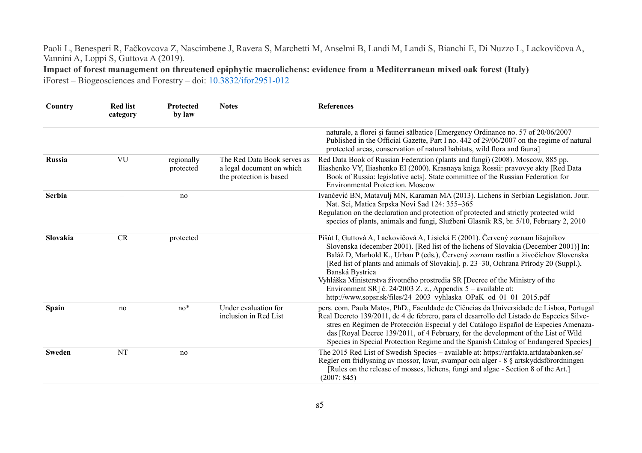**Impact of forest management on threatened epiphytic macrolichens: evidence from a Mediterranean mixed oak forest (Italy)**

| Country       | <b>Red list</b><br>category | Protected<br>by law     | <b>Notes</b>                                                                        | <b>References</b>                                                                                                                                                                                                                                                                                                                                                                                                                                                                                                                                                                              |
|---------------|-----------------------------|-------------------------|-------------------------------------------------------------------------------------|------------------------------------------------------------------------------------------------------------------------------------------------------------------------------------------------------------------------------------------------------------------------------------------------------------------------------------------------------------------------------------------------------------------------------------------------------------------------------------------------------------------------------------------------------------------------------------------------|
|               |                             |                         |                                                                                     | naturale, a florei și faunei sălbatice [Emergency Ordinance no. 57 of 20/06/2007<br>Published in the Official Gazette, Part I no. 442 of 29/06/2007 on the regime of natural<br>protected areas, conservation of natural habitats, wild flora and fauna]                                                                                                                                                                                                                                                                                                                                       |
| Russia        | VU                          | regionally<br>protected | The Red Data Book serves as<br>a legal document on which<br>the protection is based | Red Data Book of Russian Federation (plants and fungi) (2008). Moscow, 885 pp.<br>Iliashenko VY, Iliashenko EI (2000). Krasnaya kniga Rossii: pravovye akty [Red Data<br>Book of Russia: legislative acts]. State committee of the Russian Federation for<br><b>Environmental Protection. Moscow</b>                                                                                                                                                                                                                                                                                           |
| Serbia        |                             | no                      |                                                                                     | Ivančević BN, Matavulj MN, Karaman MA (2013). Lichens in Serbian Legislation. Jour.<br>Nat. Sci, Matica Srpska Novi Sad 124: 355-365<br>Regulation on the declaration and protection of protected and strictly protected wild<br>species of plants, animals and fungi, Službeni Glasnik RS, br. 5/10, February 2, 2010                                                                                                                                                                                                                                                                         |
| Slovakia      | CR                          | protected               |                                                                                     | Pišút I, Guttová A, Lackovičová A, Lisická E (2001). Červený zoznam lišajníkov<br>Slovenska (december 2001). [Red list of the lichens of Slovakia (December 2001)] In:<br>Baláž D, Marhold K., Urban P (eds.), Červený zoznam rastlín a živočíchov Slovenska<br>[Red list of plants and animals of Slovakia], p. 23–30, Ochrana Prírody 20 (Suppl.),<br>Banská Bystrica<br>Vyhláška Ministerstva životného prostredia SR [Decree of the Ministry of the<br>Environment SR] č. 24/2003 Z. z., Appendix $5$ – available at:<br>http://www.sopsr.sk/files/24 2003 vyhlaska OPaK od 01 01 2015.pdf |
| <b>Spain</b>  | no                          | $no*$                   | Under evaluation for<br>inclusion in Red List                                       | pers. com. Paula Matos, PhD., Faculdade de Ciências da Universidade de Lisboa, Portugal<br>Real Decreto 139/2011, de 4 de febrero, para el desarrollo del Listado de Especies Silve-<br>stres en Régimen de Protección Especial y del Catálogo Español de Especies Amenaza-<br>das [Royal Decree 139/2011, of 4 February, for the development of the List of Wild<br>Species in Special Protection Regime and the Spanish Catalog of Endangered Species]                                                                                                                                       |
| <b>Sweden</b> | NT                          | no                      |                                                                                     | The 2015 Red List of Swedish Species - available at: https://artfakta.artdatabanken.se/<br>Regler om fridlysning av mossor, lavar, svampar och alger - 8 § artskyddsförordningen<br>[Rules on the release of mosses, lichens, fungi and algae - Section 8 of the Art.]<br>(2007: 845)                                                                                                                                                                                                                                                                                                          |